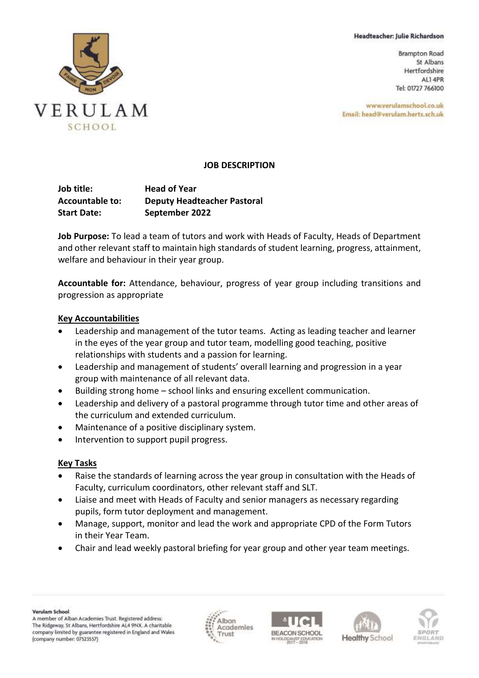#### Headteacher: Julie Richardson

**Brampton Road** St Albans Hertfordshire ALI 4PR Tel: 01727 766100

www.verulamschool.co.uk Email: head@verulam.herts.sch.uk



## **JOB DESCRIPTION**

| Job title:<br><b>Accountable to:</b> | <b>Head of Year</b>                |
|--------------------------------------|------------------------------------|
|                                      | <b>Deputy Headteacher Pastoral</b> |
| <b>Start Date:</b>                   | September 2022                     |

**Job Purpose:** To lead a team of tutors and work with Heads of Faculty, Heads of Department and other relevant staff to maintain high standards of student learning, progress, attainment, welfare and behaviour in their year group.

**Accountable for:** Attendance, behaviour, progress of year group including transitions and progression as appropriate

### **Key Accountabilities**

- Leadership and management of the tutor teams. Acting as leading teacher and learner in the eyes of the year group and tutor team, modelling good teaching, positive relationships with students and a passion for learning.
- Leadership and management of students' overall learning and progression in a year group with maintenance of all relevant data.
- Building strong home school links and ensuring excellent communication.
- Leadership and delivery of a pastoral programme through tutor time and other areas of the curriculum and extended curriculum.
- Maintenance of a positive disciplinary system.
- Intervention to support pupil progress.

# **Key Tasks**

- Raise the standards of learning across the year group in consultation with the Heads of Faculty, curriculum coordinators, other relevant staff and SLT.
- Liaise and meet with Heads of Faculty and senior managers as necessary regarding pupils, form tutor deployment and management.
- Manage, support, monitor and lead the work and appropriate CPD of the Form Tutors in their Year Team.
- Chair and lead weekly pastoral briefing for year group and other year team meetings.